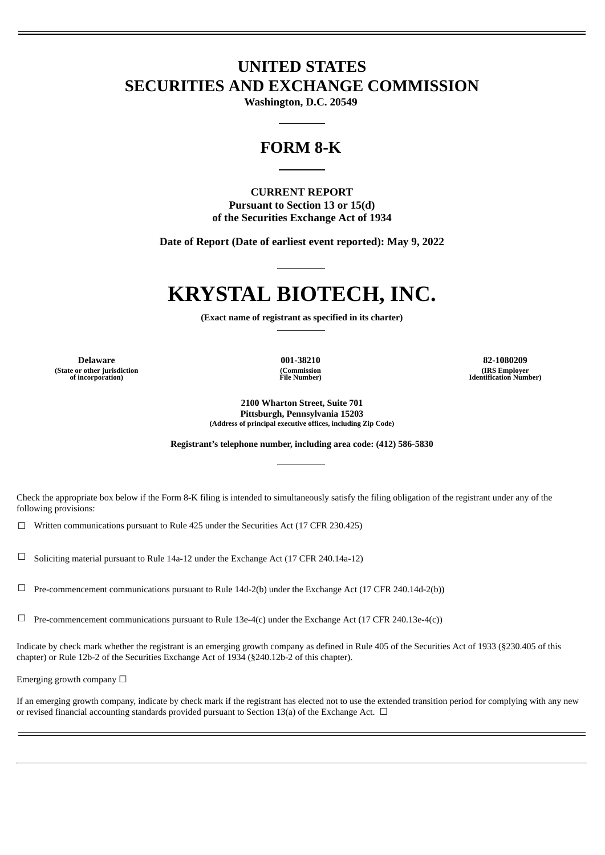# **UNITED STATES SECURITIES AND EXCHANGE COMMISSION**

**Washington, D.C. 20549**

# **FORM 8-K**

#### **CURRENT REPORT Pursuant to Section 13 or 15(d) of the Securities Exchange Act of 1934**

**Date of Report (Date of earliest event reported): May 9, 2022**

# **KRYSTAL BIOTECH, INC.**

**(Exact name of registrant as specified in its charter)**

**(State or other jurisdiction of incorporation)**

**(Commission File Number)**

**Delaware 001-38210 82-1080209 (IRS Employer Identification Number)**

> **2100 Wharton Street, Suite 701 Pittsburgh, Pennsylvania 15203 (Address of principal executive offices, including Zip Code)**

**Registrant's telephone number, including area code: (412) 586-5830**

Check the appropriate box below if the Form 8-K filing is intended to simultaneously satisfy the filing obligation of the registrant under any of the following provisions:

☐ Written communications pursuant to Rule 425 under the Securities Act (17 CFR 230.425)

☐ Soliciting material pursuant to Rule 14a-12 under the Exchange Act (17 CFR 240.14a-12)

☐ Pre-commencement communications pursuant to Rule 14d-2(b) under the Exchange Act (17 CFR 240.14d-2(b))

 $\Box$  Pre-commencement communications pursuant to Rule 13e-4(c) under the Exchange Act (17 CFR 240.13e-4(c))

Indicate by check mark whether the registrant is an emerging growth company as defined in Rule 405 of the Securities Act of 1933 (§230.405 of this chapter) or Rule 12b-2 of the Securities Exchange Act of 1934 (§240.12b-2 of this chapter).

Emerging growth company  $\Box$ 

If an emerging growth company, indicate by check mark if the registrant has elected not to use the extended transition period for complying with any new or revised financial accounting standards provided pursuant to Section 13(a) of the Exchange Act.  $\Box$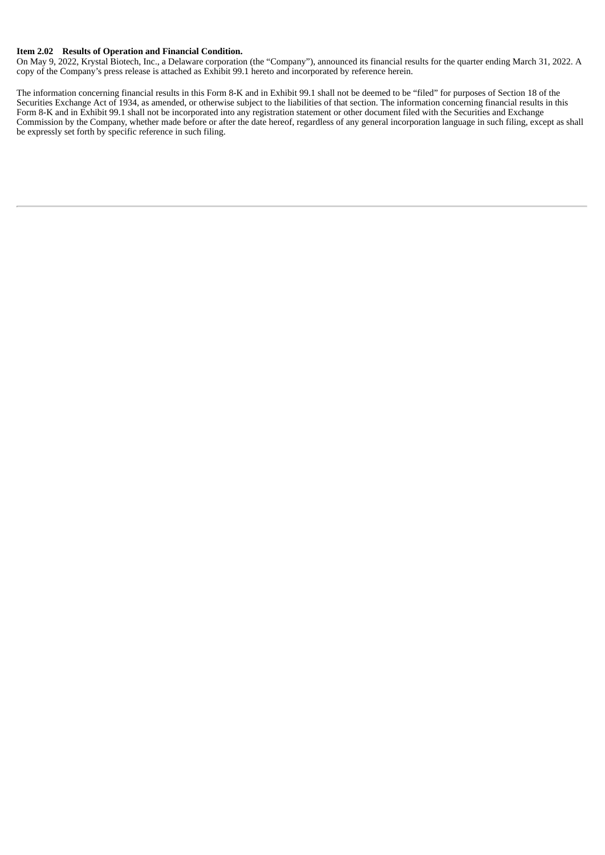#### **Item 2.02 Results of Operation and Financial Condition.**

On May 9, 2022, Krystal Biotech, Inc., a Delaware corporation (the "Company"), announced its financial results for the quarter ending March 31, 2022. A copy of the Company's press release is attached as Exhibit 99.1 hereto and incorporated by reference herein.

The information concerning financial results in this Form 8-K and in Exhibit 99.1 shall not be deemed to be "filed" for purposes of Section 18 of the Securities Exchange Act of 1934, as amended, or otherwise subject to the liabilities of that section. The information concerning financial results in this Form 8-K and in Exhibit 99.1 shall not be incorporated into any registration statement or other document filed with the Securities and Exchange Commission by the Company, whether made before or after the date hereof, regardless of any general incorporation language in such filing, except as shall be expressly set forth by specific reference in such filing.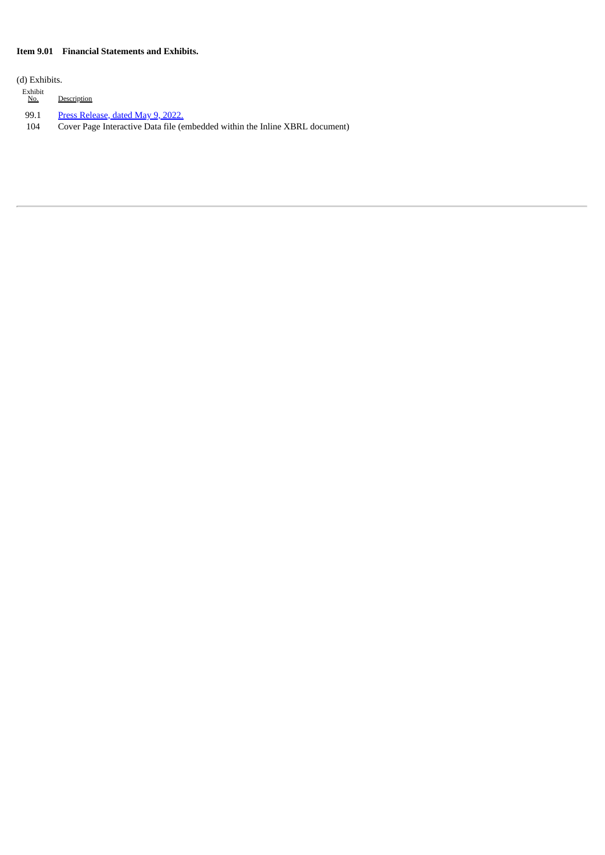#### **Item 9.01 Financial Statements and Exhibits.**

(d) Exhibits.

 $\frac{\text{Exhibit}}{\text{No.}}$ Description

99.1 Press [Release,](#page-4-0) dated May 9, 2022.

104 Cover Page Interactive Data file (embedded within the Inline XBRL document)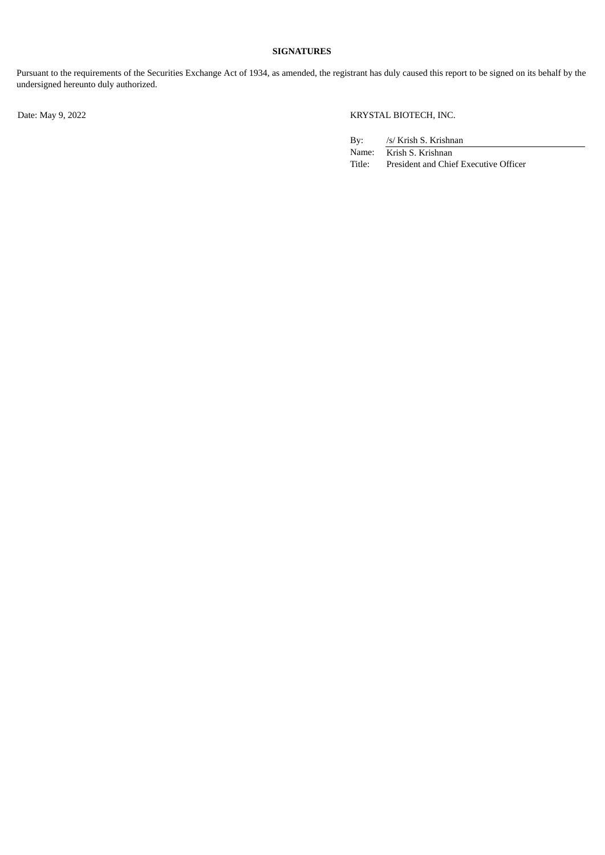#### **SIGNATURES**

Pursuant to the requirements of the Securities Exchange Act of 1934, as amended, the registrant has duly caused this report to be signed on its behalf by the undersigned hereunto duly authorized.

#### Date: May 9, 2022 KRYSTAL BIOTECH, INC.

| By:    | /s/ Krish S. Krishnan                 |
|--------|---------------------------------------|
| Name:  | Krish S. Krishnan                     |
| Title: | President and Chief Executive Officer |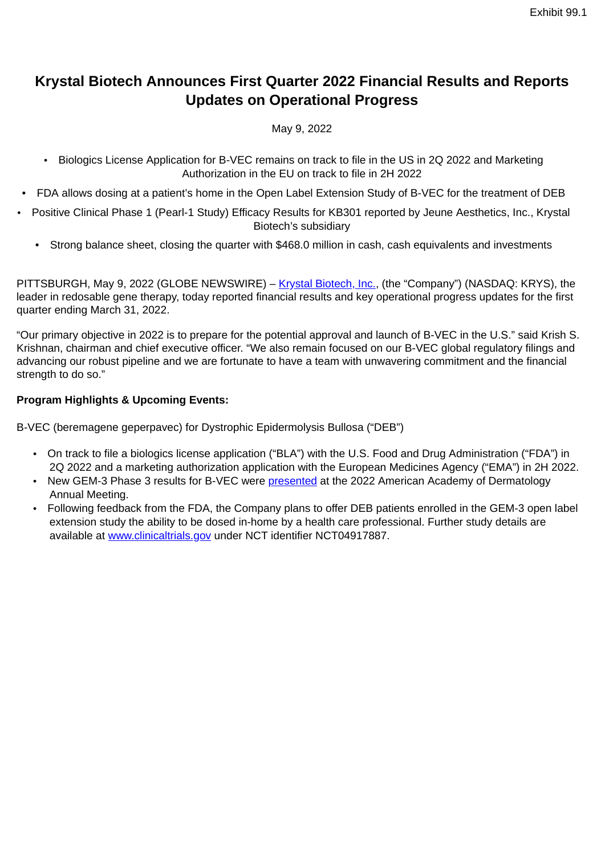# <span id="page-4-0"></span>**Krystal Biotech Announces First Quarter 2022 Financial Results and Reports Updates on Operational Progress**

### May 9, 2022

- Biologics License Application for B-VEC remains on track to file in the US in 2Q 2022 and Marketing Authorization in the EU on track to file in 2H 2022
- FDA allows dosing at a patient's home in the Open Label Extension Study of B-VEC for the treatment of DEB
- Positive Clinical Phase 1 (Pearl-1 Study) Efficacy Results for KB301 reported by Jeune Aesthetics, Inc., Krystal Biotech's subsidiary
	- Strong balance sheet, closing the quarter with \$468.0 million in cash, cash equivalents and investments

PITTSBURGH, May 9, 2022 (GLOBE NEWSWIRE) – Krystal Biotech, Inc., (the "Company") (NASDAQ: KRYS), the leader in redosable gene therapy, today reported financial results and key operational progress updates for the first quarter ending March 31, 2022.

"Our primary objective in 2022 is to prepare for the potential approval and launch of B-VEC in the U.S." said Krish S. Krishnan, chairman and chief executive officer. "We also remain focused on our B-VEC global regulatory filings and advancing our robust pipeline and we are fortunate to have a team with unwavering commitment and the financial strength to do so."

#### **Program Highlights & Upcoming Events:**

B-VEC (beremagene geperpavec) for Dystrophic Epidermolysis Bullosa ("DEB")

- On track to file a biologics license application ("BLA") with the U.S. Food and Drug Administration ("FDA") in 2Q 2022 and a marketing authorization application with the European Medicines Agency ("EMA") in 2H 2022.
- New GEM-3 Phase 3 results for B-VEC were presented at the 2022 American Academy of Dermatology Annual Meeting.
- Following feedback from the FDA, the Company plans to offer DEB patients enrolled in the GEM-3 open label extension study the ability to be dosed in-home by a health care professional. Further study details are available at www.clinicaltrials.gov under NCT identifier NCT04917887.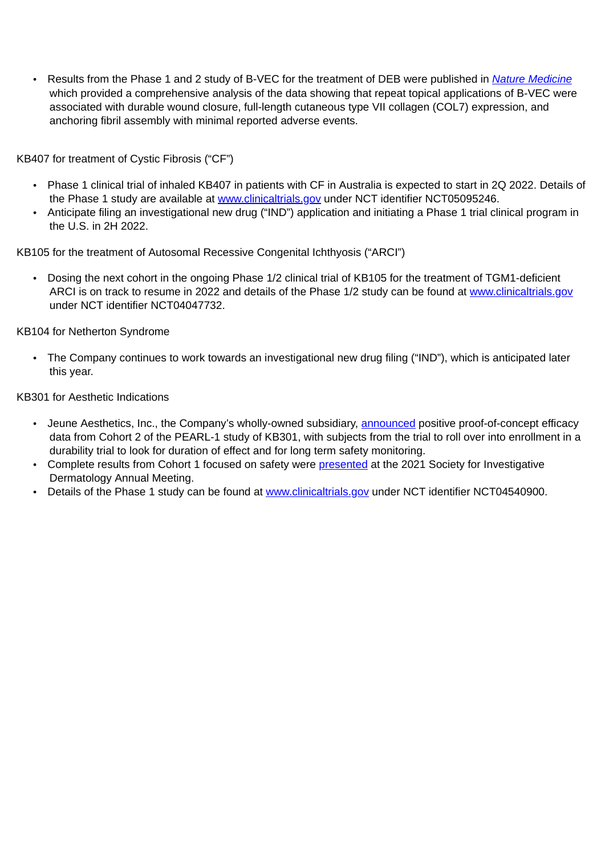• Results from the Phase 1 and 2 study of B-VEC for the treatment of DEB were published in *Nature Medicine* which provided a comprehensive analysis of the data showing that repeat topical applications of B-VEC were associated with durable wound closure, full-length cutaneous type VII collagen (COL7) expression, and anchoring fibril assembly with minimal reported adverse events.

KB407 for treatment of Cystic Fibrosis ("CF")

- Phase 1 clinical trial of inhaled KB407 in patients with CF in Australia is expected to start in 2Q 2022. Details of the Phase 1 study are available at www.clinicaltrials.gov under NCT identifier NCT05095246.
- Anticipate filing an investigational new drug ("IND") application and initiating a Phase 1 trial clinical program in the U.S. in 2H 2022.

KB105 for the treatment of Autosomal Recessive Congenital Ichthyosis ("ARCI")

• Dosing the next cohort in the ongoing Phase 1/2 clinical trial of KB105 for the treatment of TGM1-deficient ARCI is on track to resume in 2022 and details of the Phase 1/2 study can be found at www.clinicaltrials.gov under NCT identifier NCT04047732.

KB104 for Netherton Syndrome

• The Company continues to work towards an investigational new drug filing ("IND"), which is anticipated later this year.

KB301 for Aesthetic Indications

- Jeune Aesthetics, Inc., the Company's wholly-owned subsidiary, announced positive proof-of-concept efficacy data from Cohort 2 of the PEARL-1 study of KB301, with subjects from the trial to roll over into enrollment in a durability trial to look for duration of effect and for long term safety monitoring.
- Complete results from Cohort 1 focused on safety were presented at the 2021 Society for Investigative Dermatology Annual Meeting.
- Details of the Phase 1 study can be found at www.clinicaltrials.gov under NCT identifier NCT04540900.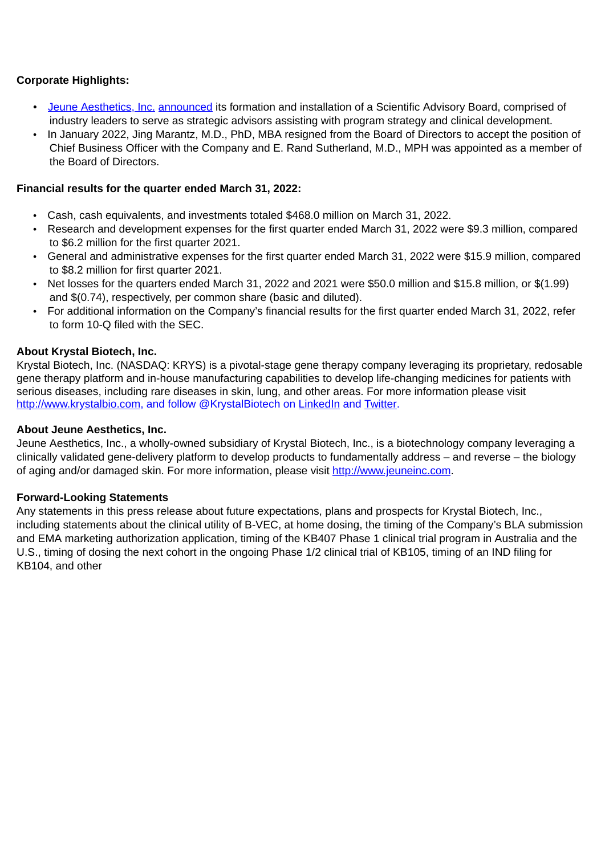#### **Corporate Highlights:**

- Jeune Aesthetics, Inc. announced its formation and installation of a Scientific Advisory Board, comprised of industry leaders to serve as strategic advisors assisting with program strategy and clinical development.
- In January 2022, Jing Marantz, M.D., PhD, MBA resigned from the Board of Directors to accept the position of Chief Business Officer with the Company and E. Rand Sutherland, M.D., MPH was appointed as a member of the Board of Directors.

#### **Financial results for the quarter ended March 31, 2022:**

- Cash, cash equivalents, and investments totaled \$468.0 million on March 31, 2022.
- Research and development expenses for the first quarter ended March 31, 2022 were \$9.3 million, compared to \$6.2 million for the first quarter 2021.
- General and administrative expenses for the first quarter ended March 31, 2022 were \$15.9 million, compared to \$8.2 million for first quarter 2021.
- Net losses for the quarters ended March 31, 2022 and 2021 were \$50.0 million and \$15.8 million, or \$(1.99) and \$(0.74), respectively, per common share (basic and diluted).
- For additional information on the Company's financial results for the first quarter ended March 31, 2022, refer to form 10-Q filed with the SEC.

#### **About Krystal Biotech, Inc.**

Krystal Biotech, Inc. (NASDAQ: KRYS) is a pivotal-stage gene therapy company leveraging its proprietary, redosable gene therapy platform and in-house manufacturing capabilities to develop life-changing medicines for patients with serious diseases, including rare diseases in skin, lung, and other areas. For more information please visit http://www.krystalbio.com, and follow @KrystalBiotech on LinkedIn and Twitter.

#### **About Jeune Aesthetics, Inc.**

Jeune Aesthetics, Inc., a wholly-owned subsidiary of Krystal Biotech, Inc., is a biotechnology company leveraging a clinically validated gene-delivery platform to develop products to fundamentally address – and reverse – the biology of aging and/or damaged skin. For more information, please visit http://www.jeuneinc.com.

#### **Forward-Looking Statements**

Any statements in this press release about future expectations, plans and prospects for Krystal Biotech, Inc., including statements about the clinical utility of B-VEC, at home dosing, the timing of the Company's BLA submission and EMA marketing authorization application, timing of the KB407 Phase 1 clinical trial program in Australia and the U.S., timing of dosing the next cohort in the ongoing Phase 1/2 clinical trial of KB105, timing of an IND filing for KB104, and other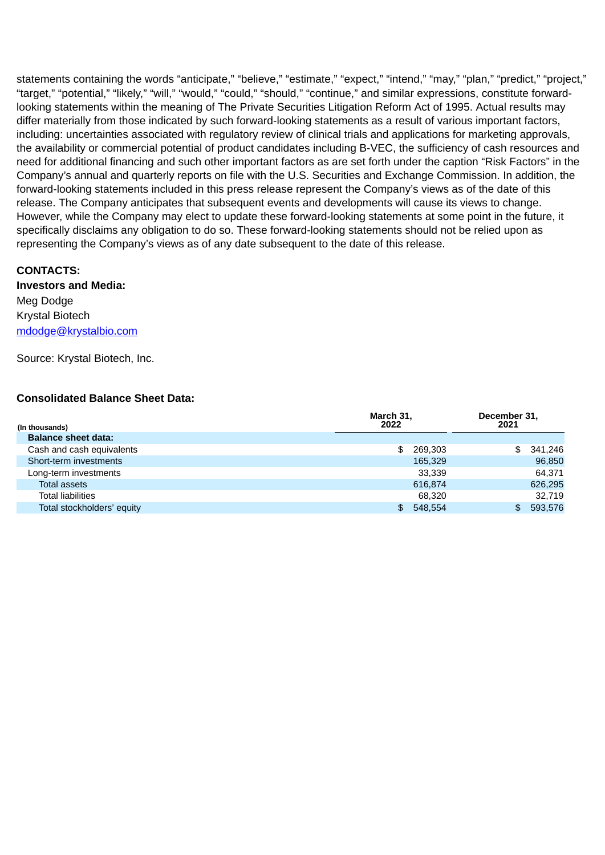statements containing the words "anticipate," "believe," "estimate," "expect," "intend," "may," "plan," "predict," "project," "target," "potential," "likely," "will," "would," "could," "should," "continue," and similar expressions, constitute forwardlooking statements within the meaning of The Private Securities Litigation Reform Act of 1995. Actual results may differ materially from those indicated by such forward-looking statements as a result of various important factors, including: uncertainties associated with regulatory review of clinical trials and applications for marketing approvals, the availability or commercial potential of product candidates including B-VEC, the sufficiency of cash resources and need for additional financing and such other important factors as are set forth under the caption "Risk Factors" in the Company's annual and quarterly reports on file with the U.S. Securities and Exchange Commission. In addition, the forward-looking statements included in this press release represent the Company's views as of the date of this release. The Company anticipates that subsequent events and developments will cause its views to change. However, while the Company may elect to update these forward-looking statements at some point in the future, it specifically disclaims any obligation to do so. These forward-looking statements should not be relied upon as representing the Company's views as of any date subsequent to the date of this release.

#### **CONTACTS:**

### **Investors and Media:**  Meg Dodge Krystal Biotech mdodge@krystalbio.com

Source: Krystal Biotech, Inc.

#### **Consolidated Balance Sheet Data:**

| (In thousands)             | March 31,<br>2022 |         | December 31,<br>2021 |         |
|----------------------------|-------------------|---------|----------------------|---------|
| <b>Balance sheet data:</b> |                   |         |                      |         |
| Cash and cash equivalents  | \$                | 269,303 | \$                   | 341.246 |
| Short-term investments     |                   | 165,329 |                      | 96,850  |
| Long-term investments      |                   | 33.339  |                      | 64.371  |
| <b>Total assets</b>        |                   | 616.874 |                      | 626,295 |
| <b>Total liabilities</b>   |                   | 68.320  |                      | 32,719  |
| Total stockholders' equity |                   | 548,554 | \$                   | 593,576 |